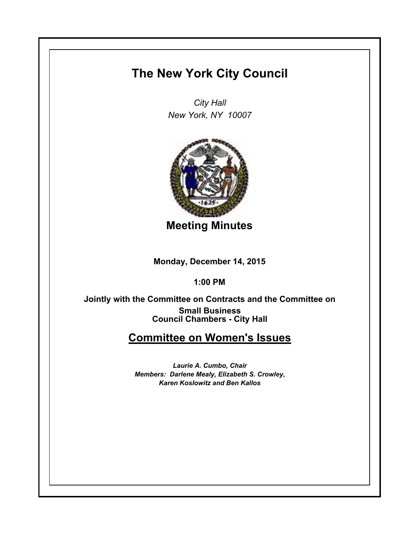# **The New York City Council**

*City Hall New York, NY 10007*



**Meeting Minutes**

**Monday, December 14, 2015**

**1:00 PM**

**Council Chambers - City Hall Jointly with the Committee on Contracts and the Committee on Small Business**

# **Committee on Women's Issues**

*Laurie A. Cumbo, Chair Members: Darlene Mealy, Elizabeth S. Crowley, Karen Koslowitz and Ben Kallos*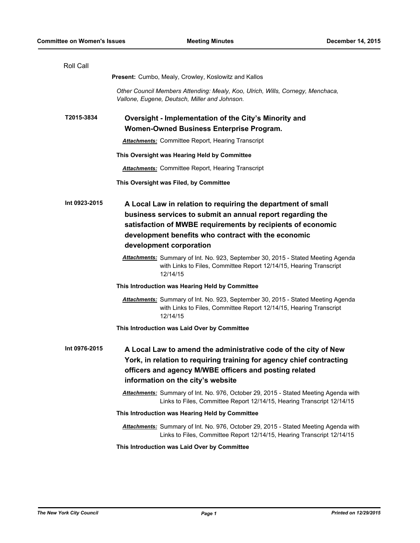| Roll Call     |                                                                                                                                                                                                                                                                             |
|---------------|-----------------------------------------------------------------------------------------------------------------------------------------------------------------------------------------------------------------------------------------------------------------------------|
|               | Present: Cumbo, Mealy, Crowley, Koslowitz and Kallos                                                                                                                                                                                                                        |
|               | Other Council Members Attending: Mealy, Koo, Ulrich, Wills, Cornegy, Menchaca,<br>Vallone, Eugene, Deutsch, Miller and Johnson.                                                                                                                                             |
| T2015-3834    | Oversight - Implementation of the City's Minority and                                                                                                                                                                                                                       |
|               | Women-Owned Business Enterprise Program.                                                                                                                                                                                                                                    |
|               | <b>Attachments:</b> Committee Report, Hearing Transcript                                                                                                                                                                                                                    |
|               | This Oversight was Hearing Held by Committee                                                                                                                                                                                                                                |
|               | <b>Attachments:</b> Committee Report, Hearing Transcript                                                                                                                                                                                                                    |
|               | This Oversight was Filed, by Committee                                                                                                                                                                                                                                      |
| Int 0923-2015 | A Local Law in relation to requiring the department of small<br>business services to submit an annual report regarding the<br>satisfaction of MWBE requirements by recipients of economic<br>development benefits who contract with the economic<br>development corporation |
|               | Attachments: Summary of Int. No. 923, September 30, 2015 - Stated Meeting Agenda<br>with Links to Files, Committee Report 12/14/15, Hearing Transcript<br>12/14/15                                                                                                          |
|               | This Introduction was Hearing Held by Committee                                                                                                                                                                                                                             |
|               | <b>Attachments:</b> Summary of Int. No. 923, September 30, 2015 - Stated Meeting Agenda<br>with Links to Files, Committee Report 12/14/15, Hearing Transcript<br>12/14/15                                                                                                   |
|               | This Introduction was Laid Over by Committee                                                                                                                                                                                                                                |
| Int 0976-2015 | A Local Law to amend the administrative code of the city of New<br>York, in relation to requiring training for agency chief contracting<br>officers and agency M/WBE officers and posting related<br>information on the city's website                                      |
|               | Attachments: Summary of Int. No. 976, October 29, 2015 - Stated Meeting Agenda with<br>Links to Files, Committee Report 12/14/15, Hearing Transcript 12/14/15                                                                                                               |
|               | This Introduction was Hearing Held by Committee                                                                                                                                                                                                                             |
|               | Attachments: Summary of Int. No. 976, October 29, 2015 - Stated Meeting Agenda with<br>Links to Files, Committee Report 12/14/15, Hearing Transcript 12/14/15                                                                                                               |
|               | This Introduction was Laid Over by Committee                                                                                                                                                                                                                                |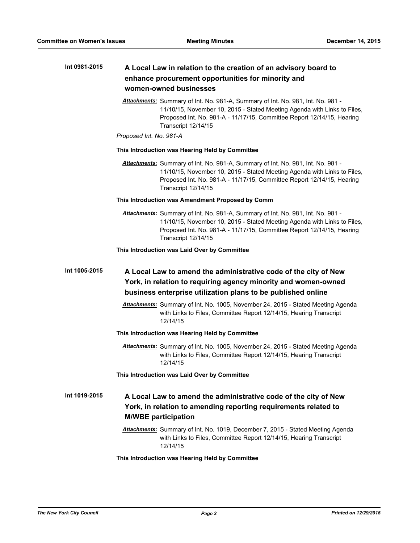#### **A Local Law in relation to the creation of an advisory board to enhance procurement opportunities for minority and women-owned businesses Int 0981-2015**

*Attachments:* Summary of Int. No. 981-A, Summary of Int. No. 981, Int. No. 981 - 11/10/15, November 10, 2015 - Stated Meeting Agenda with Links to Files, Proposed Int. No. 981-A - 11/17/15, Committee Report 12/14/15, Hearing Transcript 12/14/15

## *Proposed Int. No. 981-A*

#### **This Introduction was Hearing Held by Committee**

*Attachments:* Summary of Int. No. 981-A, Summary of Int. No. 981, Int. No. 981 - 11/10/15, November 10, 2015 - Stated Meeting Agenda with Links to Files, Proposed Int. No. 981-A - 11/17/15, Committee Report 12/14/15, Hearing Transcript 12/14/15

#### **This Introduction was Amendment Proposed by Comm**

*Attachments:* Summary of Int. No. 981-A, Summary of Int. No. 981, Int. No. 981 - 11/10/15, November 10, 2015 - Stated Meeting Agenda with Links to Files, Proposed Int. No. 981-A - 11/17/15, Committee Report 12/14/15, Hearing Transcript 12/14/15

#### **This Introduction was Laid Over by Committee**

# **A Local Law to amend the administrative code of the city of New York, in relation to requiring agency minority and women-owned business enterprise utilization plans to be published online Int 1005-2015**

*Attachments:* Summary of Int. No. 1005, November 24, 2015 - Stated Meeting Agenda with Links to Files, Committee Report 12/14/15, Hearing Transcript 12/14/15

## **This Introduction was Hearing Held by Committee**

*Attachments:* Summary of Int. No. 1005, November 24, 2015 - Stated Meeting Agenda with Links to Files, Committee Report 12/14/15, Hearing Transcript 12/14/15

#### **This Introduction was Laid Over by Committee**

### **A Local Law to amend the administrative code of the city of New York, in relation to amending reporting requirements related to M/WBE participation Int 1019-2015**

*Attachments:* Summary of Int. No. 1019, December 7, 2015 - Stated Meeting Agenda with Links to Files, Committee Report 12/14/15, Hearing Transcript 12/14/15

#### **This Introduction was Hearing Held by Committee**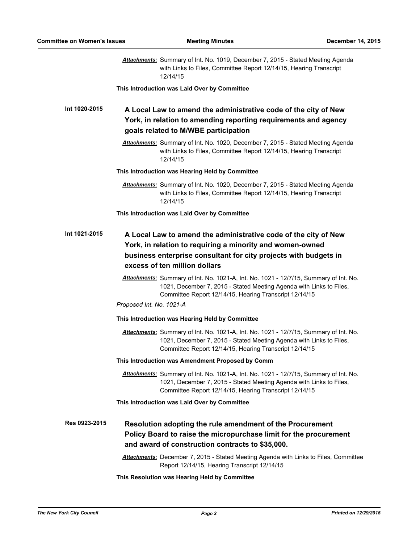|               | <b>Attachments:</b> Summary of Int. No. 1019, December 7, 2015 - Stated Meeting Agenda<br>with Links to Files, Committee Report 12/14/15, Hearing Transcript<br>12/14/15                                               |
|---------------|------------------------------------------------------------------------------------------------------------------------------------------------------------------------------------------------------------------------|
|               | This Introduction was Laid Over by Committee                                                                                                                                                                           |
| Int 1020-2015 | A Local Law to amend the administrative code of the city of New<br>York, in relation to amending reporting requirements and agency<br>goals related to M/WBE participation                                             |
|               | Attachments: Summary of Int. No. 1020, December 7, 2015 - Stated Meeting Agenda<br>with Links to Files, Committee Report 12/14/15, Hearing Transcript<br>12/14/15                                                      |
|               | This Introduction was Hearing Held by Committee                                                                                                                                                                        |
|               | Attachments: Summary of Int. No. 1020, December 7, 2015 - Stated Meeting Agenda<br>with Links to Files, Committee Report 12/14/15, Hearing Transcript<br>12/14/15                                                      |
|               | This Introduction was Laid Over by Committee                                                                                                                                                                           |
| Int 1021-2015 | A Local Law to amend the administrative code of the city of New<br>York, in relation to requiring a minority and women-owned<br>business enterprise consultant for city projects with budgets in                       |
|               | excess of ten million dollars                                                                                                                                                                                          |
|               | Attachments: Summary of Int. No. 1021-A, Int. No. 1021 - 12/7/15, Summary of Int. No.<br>1021, December 7, 2015 - Stated Meeting Agenda with Links to Files,<br>Committee Report 12/14/15, Hearing Transcript 12/14/15 |
|               | Proposed Int. No. 1021-A                                                                                                                                                                                               |
|               | This Introduction was Hearing Held by Committee                                                                                                                                                                        |
|               | Attachments: Summary of Int. No. 1021-A, Int. No. 1021 - 12/7/15, Summary of Int. No.<br>1021, December 7, 2015 - Stated Meeting Agenda with Links to Files,<br>Committee Report 12/14/15, Hearing Transcript 12/14/15 |
|               | This Introduction was Amendment Proposed by Comm                                                                                                                                                                       |
|               | Attachments: Summary of Int. No. 1021-A, Int. No. 1021 - 12/7/15, Summary of Int. No.<br>1021, December 7, 2015 - Stated Meeting Agenda with Links to Files,<br>Committee Report 12/14/15, Hearing Transcript 12/14/15 |
|               | This Introduction was Laid Over by Committee                                                                                                                                                                           |
| Res 0923-2015 | Resolution adopting the rule amendment of the Procurement<br>Policy Board to raise the micropurchase limit for the procurement<br>and award of construction contracts to \$35,000.                                     |
|               | Attachments: December 7, 2015 - Stated Meeting Agenda with Links to Files, Committee<br>Report 12/14/15, Hearing Transcript 12/14/15                                                                                   |
|               | This Resolution was Hearing Held by Committee                                                                                                                                                                          |